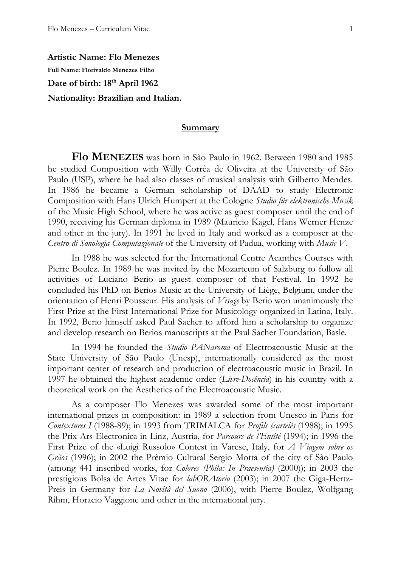**Artistic Name: Flo Menezes Full Name: Florivaldo Menezes Filho Date of birth: 18th April 1962 Nationality: Brazilian and Italian.**

## **Summary**

**Flo MENEZES** was born in São Paulo in 1962. Between 1980 and 1985 he studied Composition with Willy Corrêa de Oliveira at the University of São Paulo (USP), where he had also classes of musical analysis with Gilberto Mendes. In 1986 he became a German scholarship of DAAD to study Electronic Composition with Hans Ulrich Humpert at the Cologne *Studio für elektronische Musik* of the Music High School, where he was active as guest composer until the end of 1990, receiving his German diploma in 1989 (Mauricio Kagel, Hans Werner Henze and other in the jury). In 1991 he lived in Italy and worked as a composer at the *Centro di Sonologia Computazionale* of the University of Padua, working with *Music V*.

In 1988 he was selected for the International Centre Acanthes Courses with Pierre Boulez. In 1989 he was invited by the Mozarteum of Salzburg to follow all activities of Luciano Berio as guest composer of that Festival. In 1992 he concluded his PhD on Berios Music at the University of Liège, Belgium, under the orientation of Henri Pousseur. His analysis of *Visage* by Berio won unanimously the First Prize at the First International Prize for Musicology organized in Latina, Italy. In 1992, Berio himself asked Paul Sacher to afford him a scholarship to organize and develop research on Berios manuscripts at the Paul Sacher Foundation, Basle.

In 1994 he founded the *Studio PANaroma* of Electroacoustic Music at the State University of São Paulo (Unesp), internationally considered as the most important center of research and production of electroacoustic music in Brazil. In 1997 he obtained the highest academic order (*Livre-Docência*) in his country with a theoretical work on the Aesthetics of the Electroacoustic Music.

As a composer Flo Menezes was awarded some of the most important international prizes in composition: in 1989 a selection from Unesco in Paris for *Contextures I* (1988-89); in 1993 from TRIMALCA for *Profils écartelés* (1988); in 1995 the Prix Ars Electronica in Linz, Austria, for *Parcours de l'Entité* (1994); in 1996 the First Prize of the «Luigi Russolo» Contest in Varese, Italy, for *A Viagem sobre os Grãos* (1996); in 2002 the Prêmio Cultural Sergio Motta of the city of São Paulo (among 441 inscribed works, for *Colores (Phila: In Praesentia)* (2000)); in 2003 the prestigious Bolsa de Artes Vitae for *labORAtorio* (2003); in 2007 the Giga-Hertz-Preis in Germany for *La Novità del Suono* (2006), with Pierre Boulez, Wolfgang Rihm, Horacio Vaggione and other in the international jury.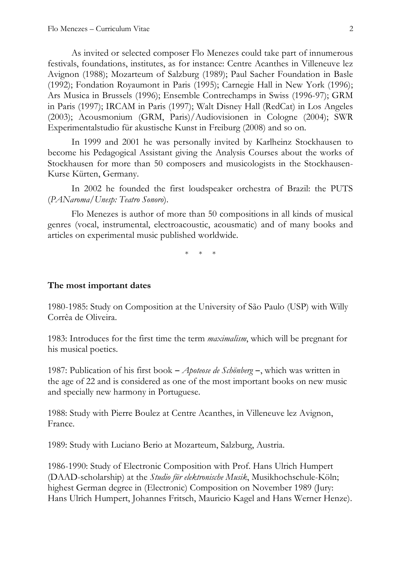As invited or selected composer Flo Menezes could take part of innumerous festivals, foundations, institutes, as for instance: Centre Acanthes in Villeneuve lez Avignon (1988); Mozarteum of Salzburg (1989); Paul Sacher Foundation in Basle (1992); Fondation Royaumont in Paris (1995); Carnegie Hall in New York (1996); Ars Musica in Brussels (1996); Ensemble Contrechamps in Swiss (1996-97); GRM in Paris (1997); IRCAM in Paris (1997); Walt Disney Hall (RedCat) in Los Angeles (2003); Acousmonium (GRM, Paris)*/*Audiovisionen in Cologne (2004); SWR Experimentalstudio für akustische Kunst in Freiburg (2008) and so on.

In 1999 and 2001 he was personally invited by Karlheinz Stockhausen to become his Pedagogical Assistant giving the Analysis Courses about the works of Stockhausen for more than 50 composers and musicologists in the Stockhausen-Kurse Kürten, Germany.

In 2002 he founded the first loudspeaker orchestra of Brazil: the PUTS (*PANaroma/Unesp: Teatro Sonoro*).

Flo Menezes is author of more than 50 compositions in all kinds of musical genres (vocal, instrumental, electroacoustic, acousmatic) and of many books and articles on experimental music published worldwide.

\* \* \*

## **The most important dates**

1980-1985: Study on Composition at the University of São Paulo (USP) with Willy Corrêa de Oliveira.

1983: Introduces for the first time the term *maximalism*, which will be pregnant for his musical poetics.

1987: Publication of his first book − *Apoteose de Schönberg* −, which was written in the age of 22 and is considered as one of the most important books on new music and specially new harmony in Portuguese.

1988: Study with Pierre Boulez at Centre Acanthes, in Villeneuve lez Avignon, France.

1989: Study with Luciano Berio at Mozarteum, Salzburg, Austria.

1986-1990: Study of Electronic Composition with Prof. Hans Ulrich Humpert (DAAD-scholarship) at the *Studio für elektronische Musik*, Musikhochschule-Köln; highest German degree in (Electronic) Composition on November 1989 (Jury: Hans Ulrich Humpert, Johannes Fritsch, Mauricio Kagel and Hans Werner Henze).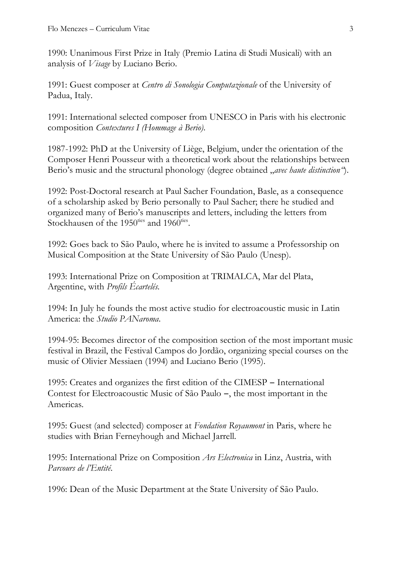1990: Unanimous First Prize in Italy (Premio Latina di Studi Musicali) with an analysis of *Visage* by Luciano Berio.

1991: Guest composer at *Centro di Sonologia Computazionale* of the University of Padua, Italy.

1991: International selected composer from UNESCO in Paris with his electronic composition *Contextures I (Hommage à Berio)*.

1987-1992: PhD at the University of Liège, Belgium, under the orientation of the Composer Henri Pousseur with a theoretical work about the relationships between Berio's music and the structural phonology (degree obtained , avec haute distinction").

1992: Post-Doctoral research at Paul Sacher Foundation, Basle, as a consequence of a scholarship asked by Berio personally to Paul Sacher; there he studied and organized many of Berio's manuscripts and letters, including the letters from Stockhausen of the  $1950<sup>ties</sup>$  and  $1960<sup>ties</sup>$ .

1992: Goes back to São Paulo, where he is invited to assume a Professorship on Musical Composition at the State University of São Paulo (Unesp).

1993: International Prize on Composition at TRIMALCA, Mar del Plata, Argentine, with *Profils Écartelés*.

1994: In July he founds the most active studio for electroacoustic music in Latin America: the *Studio PANaroma*.

1994-95: Becomes director of the composition section of the most important music festival in Brazil, the Festival Campos do Jordão, organizing special courses on the music of Olivier Messiaen (1994) and Luciano Berio (1995).

1995: Creates and organizes the first edition of the CIMESP − International Contest for Electroacoustic Music of São Paulo −, the most important in the Americas.

1995: Guest (and selected) composer at *Fondation Royaumont* in Paris, where he studies with Brian Ferneyhough and Michael Jarrell.

1995: International Prize on Composition *Ars Electronica* in Linz, Austria, with *Parcours de l'Entité*.

1996: Dean of the Music Department at the State University of São Paulo.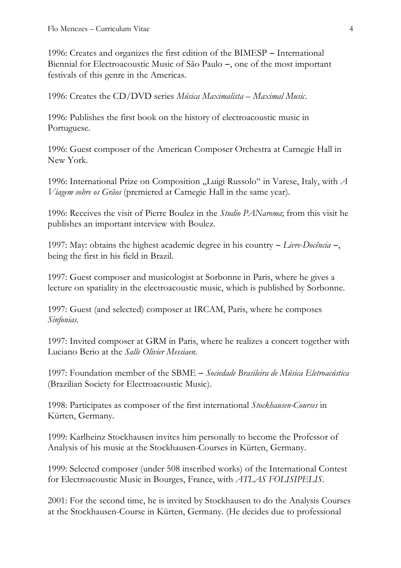1996: Creates and organizes the first edition of the BIMESP − International Biennial for Electroacoustic Music of São Paulo −, one of the most important festivals of this genre in the Americas.

1996: Creates the CD/DVD series *Música Maximalista – Maximal Music*.

1996: Publishes the first book on the history of electroacoustic music in Portuguese.

1996: Guest composer of the American Composer Orchestra at Carnegie Hall in New York.

1996: International Prize on Composition "Luigi Russolo" in Varese, Italy, with *A Viagem sobre os Grãos* (premiered at Carnegie Hall in the same year).

1996: Receives the visit of Pierre Boulez in the *Studio PANaroma*; from this visit he publishes an important interview with Boulez.

1997: May: obtains the highest academic degree in his country − *Livre-Docência* −, being the first in his field in Brazil.

1997: Guest composer and musicologist at Sorbonne in Paris, where he gives a lecture on spatiality in the electroacoustic music, which is published by Sorbonne.

1997: Guest (and selected) composer at IRCAM, Paris, where he composes *Sinfonias*.

1997: Invited composer at GRM in Paris, where he realizes a concert together with Luciano Berio at the *Salle Olivier Messiaen*.

1997: Foundation member of the SBME − *Sociedade Brasileira de Música Eletroacústica* (Brazilian Society for Electroacoustic Music).

1998: Participates as composer of the first international *Stockhausen-Courses* in Kürten, Germany.

1999: Karlheinz Stockhausen invites him personally to become the Professor of Analysis of his music at the Stockhausen-Courses in Kürten, Germany.

1999: Selected composer (under 508 inscribed works) of the International Contest for Electroacoustic Music in Bourges, France, with *ATLAS FOLISIPELIS*.

2001: For the second time, he is invited by Stockhausen to do the Analysis Courses at the Stockhausen-Course in Kürten, Germany. (He decides due to professional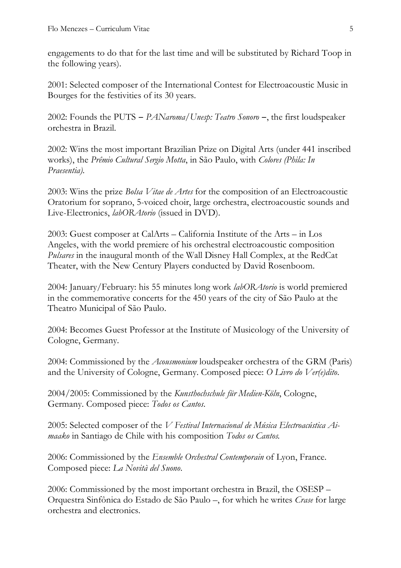engagements to do that for the last time and will be substituted by Richard Toop in the following years).

2001: Selected composer of the International Contest for Electroacoustic Music in Bourges for the festivities of its 30 years.

2002: Founds the PUTS − *PANaroma/Unesp: Teatro Sonoro* −, the first loudspeaker orchestra in Brazil.

2002: Wins the most important Brazilian Prize on Digital Arts (under 441 inscribed works), the *Prêmio Cultural Sergio Motta*, in São Paulo, with *Colores (Phila: In Praesentia)*.

2003: Wins the prize *Bolsa Vitae de Artes* for the composition of an Electroacoustic Oratorium for soprano, 5-voiced choir, large orchestra, electroacoustic sounds and Live-Electronics, *labORAtorio* (issued in DVD).

2003: Guest composer at CalArts – California Institute of the Arts – in Los Angeles, with the world premiere of his orchestral electroacoustic composition *Pulsares* in the inaugural month of the Wall Disney Hall Complex, at the RedCat Theater, with the New Century Players conducted by David Rosenboom.

2004: January/February: his 55 minutes long work *labORAtorio* is world premiered in the commemorative concerts for the 450 years of the city of São Paulo at the Theatro Municipal of São Paulo.

2004: Becomes Guest Professor at the Institute of Musicology of the University of Cologne, Germany.

2004: Commissioned by the *Acousmonium* loudspeaker orchestra of the GRM (Paris) and the University of Cologne, Germany. Composed piece: *O Livro do Ver(e)dito*.

2004/2005: Commissioned by the *Kunsthochschule für Medien-Köln*, Cologne, Germany. Composed piece: *Todos os Cantos*.

2005: Selected composer of the *V Festival Internacional de Música Electroacústica Aimaako* in Santiago de Chile with his composition *Todos os Cantos.*

2006: Commissioned by the *Ensemble Orchestral Contemporain* of Lyon, France. Composed piece: *La Novità del Suono*.

2006: Commissioned by the most important orchestra in Brazil, the OSESP – Orquestra Sinfônica do Estado de São Paulo –, for which he writes *Crase* for large orchestra and electronics.